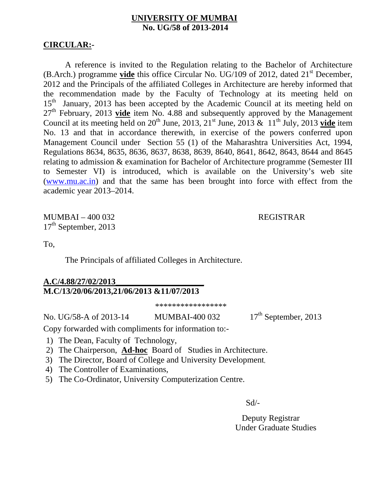## **UNIVERSITY OF MUMBAI No. UG/58 of 2013-2014**

## **CIRCULAR:-**

A reference is invited to the Regulation relating to the Bachelor of Architecture (B.Arch.) programme **vide** this office Circular No. UG/109 of 2012, dated 21<sup>st</sup> December, 2012 and the Principals of the affiliated Colleges in Architecture are hereby informed that the recommendation made by the Faculty of Technology at its meeting held on 15<sup>th</sup> January, 2013 has been accepted by the Academic Council at its meeting held on 27th February, 2013 **vide** item No. 4.88 and subsequently approved by the Management Council at its meeting held on  $20^{th}$  June,  $2013$ ,  $21^{st}$  June,  $2013 \& 11^{th}$  July,  $2013$  vide item No. 13 and that in accordance therewith, in exercise of the powers conferred upon Management Council under Section 55 (1) of the Maharashtra Universities Act, 1994, Regulations 8634, 8635, 8636, 8637, 8638, 8639, 8640, 8641, 8642, 8643, 8644 and 8645 relating to admission & examination for Bachelor of Architecture programme (Semester III to Semester VI) is introduced, which is available on the University's web site (www.mu.ac.in) and that the same has been brought into force with effect from the academic year 2013–2014.

MUMBAI – 400 032 REGISTRAR  $17<sup>th</sup>$  September, 2013

To,

The Principals of affiliated Colleges in Architecture.

## **A.C/4.88/27/02/2013\_\_\_\_\_\_\_\_\_\_\_\_\_\_\_\_\_\_\_\_\_ M.C/13/20/06/2013,21/06/2013 &11/07/2013**

\*\*\*\*\*\*\*\*\*\*\*\*\*\*\*\*\*

No. UG/58-A of 2013-14 MUMBAI-400 032 17<sup>th</sup> September, 2013

Copy forwarded with compliments for information to:-

1) The Dean, Faculty of Technology,

- 2) The Chairperson, **Ad-hoc** Board of Studies in Architecture.
- 3) The Director, Board of College and University Development,
- 4) The Controller of Examinations,
- 5) The Co-Ordinator, University Computerization Centre.

Sd/-

 Deputy Registrar Under Graduate Studies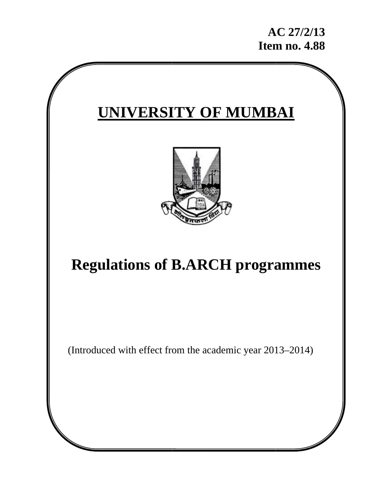# **UNIVERSITY OF MUMBAI**



## **Regulations of B.ARCH programmes**

(Introduced with effect from the academic year 2013-2014)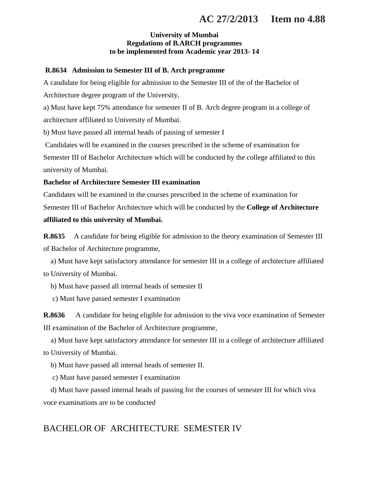## **AC 27/2/2013 Item no 4.88**

#### **University of Mumbai Regulations of B.ARCH programmes to be implemented from Academic year 2013- 14**

#### **R.8634 Admission to Semester III of B. Arch programme**

A candidate for being eligible for admission to the Semester III of the of the Bachelor of Architecture degree program of the University,

a) Must have kept 75% attendance for semester II of B. Arch degree program in a college of architecture affiliated to University of Mumbai.

b) Must have passed all internal heads of passing of semester I

 Candidates will be examined in the courses prescribed in the scheme of examination for Semester III of Bachelor Architecture which will be conducted by the college affiliated to this university of Mumbai.

#### **Bachelor of Architecture Semester III examination**

Candidates will be examined in the courses prescribed in the scheme of examination for Semester III of Bachelor Architecture which will be conducted by the **College of Architecture affiliated to this university of Mumbai.**

**R.8635** A candidate for being eligible for admission to the theory examination of Semester III of Bachelor of Architecture programme,

 a) Must have kept satisfactory attendance for semester III in a college of architecture affiliated to University of Mumbai.

b) Must have passed all internal heads of semester II

c) Must have passed semester I examination

**R.8636** A candidate for being eligible for admission to the viva voce examination of Semester III examination of the Bachelor of Architecture programme,

 a) Must have kept satisfactory attendance for semester III in a college of architecture affiliated to University of Mumbai.

b) Must have passed all internal heads of semester II.

c) Must have passed semester I examination

 d) Must have passed internal heads of passing for the courses of semester III for which viva voce examinations are to be conducted

## BACHELOR OF ARCHITECTURE SEMESTER IV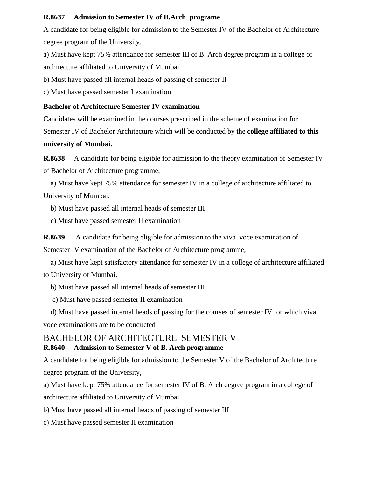#### **R.8637 Admission to Semester IV of B.Arch programe**

A candidate for being eligible for admission to the Semester IV of the Bachelor of Architecture degree program of the University,

a) Must have kept 75% attendance for semester III of B. Arch degree program in a college of architecture affiliated to University of Mumbai.

b) Must have passed all internal heads of passing of semester II

c) Must have passed semester I examination

#### **Bachelor of Architecture Semester IV examination**

Candidates will be examined in the courses prescribed in the scheme of examination for Semester IV of Bachelor Architecture which will be conducted by the **college affiliated to this university of Mumbai.** 

**R.8638** A candidate for being eligible for admission to the theory examination of Semester IV of Bachelor of Architecture programme,

 a) Must have kept 75% attendance for semester IV in a college of architecture affiliated to University of Mumbai.

b) Must have passed all internal heads of semester III

c) Must have passed semester II examination

**R.8639** A candidate for being eligible for admission to the viva voce examination of Semester IV examination of the Bachelor of Architecture programme,

 a) Must have kept satisfactory attendance for semester IV in a college of architecture affiliated to University of Mumbai.

b) Must have passed all internal heads of semester III

c) Must have passed semester II examination

 d) Must have passed internal heads of passing for the courses of semester IV for which viva voce examinations are to be conducted

## BACHELOR OF ARCHITECTURE SEMESTER V **R.8640 Admission to Semester V of B. Arch programme**

A candidate for being eligible for admission to the Semester V of the Bachelor of Architecture degree program of the University,

a) Must have kept 75% attendance for semester IV of B. Arch degree program in a college of architecture affiliated to University of Mumbai.

b) Must have passed all internal heads of passing of semester III

c) Must have passed semester II examination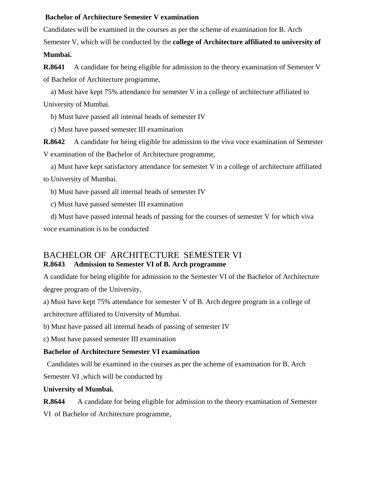#### **Bachelor of Architecture Semester V examination**

Candidates will be examined in the courses as per the scheme of examination for B. Arch Semester V, which will be conducted by the **college of Architecture affiliated to university of Mumbai.** 

**R.8641** A candidate for being eligible for admission to the theory examination of Semester V of Bachelor of Architecture programme,

 a) Must have kept 75% attendance for semester V in a college of architecture affiliated to University of Mumbai.

b) Must have passed all internal heads of semester IV

c) Must have passed semester III examination

**R.8642** A candidate for being eligible for admission to the viva voce examination of Semester V examination of the Bachelor of Architecture programme,

 a) Must have kept satisfactory attendance for semester V in a college of architecture affiliated to University of Mumbai.

b) Must have passed all internal heads of semester IV

c) Must have passed semester III examination

 d) Must have passed internal heads of passing for the courses of semester V for which viva voce examination is to be conducted

## BACHELOR OF ARCHITECTURE SEMESTER VI **R.8643 Admission to Semester VI of B. Arch programme**

A candidate for being eligible for admission to the Semester VI of the Bachelor of Architecture degree program of the University,

a) Must have kept 75% attendance for semester V of B. Arch degree program in a college of architecture affiliated to University of Mumbai.

b) Must have passed all internal heads of passing of semester IV

c) Must have passed semester III examination

## **Bachelor of Architecture Semester VI examination**

Candidates will be examined in the courses as per the scheme of examination for B. Arch

Semester VI ,which will be conducted by

#### **University of Mumbai.**

**R.8644** A candidate for being eligible for admission to the theory examination of Semester VI of Bachelor of Architecture programme,